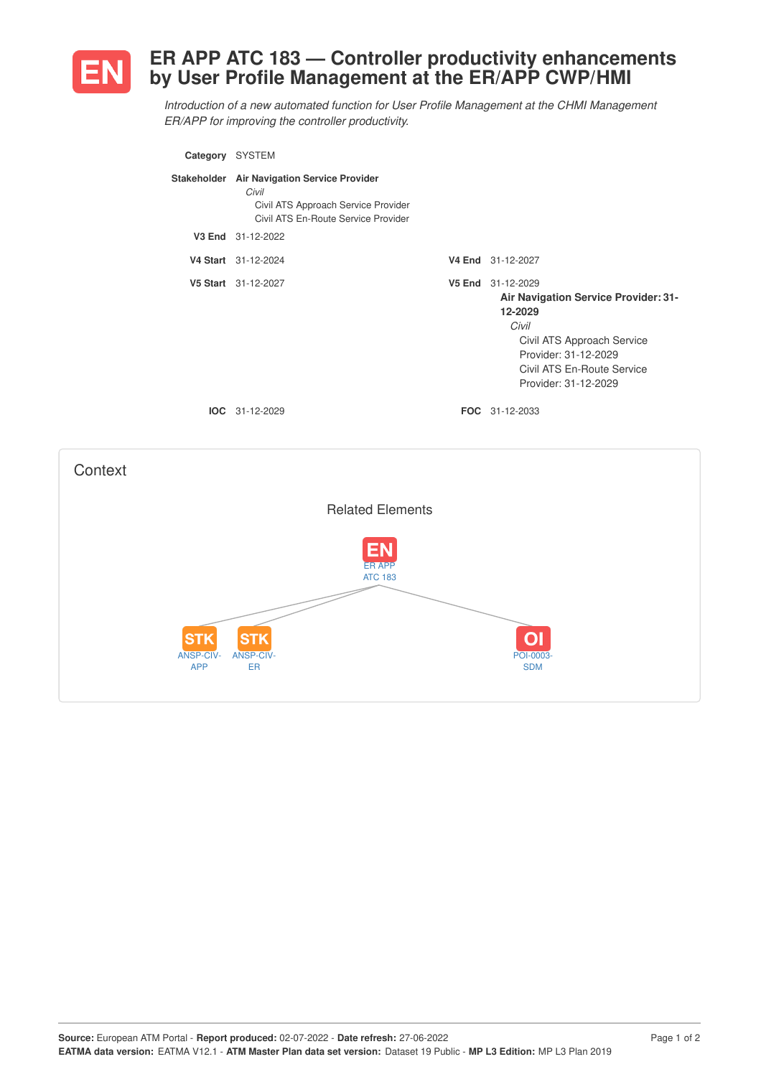

## **ER APP ATC 183 — Controller productivity enhancements by User Profile Management at the ER/APP CWP/HMI**

*Introduction of a new automated function for User Profile Management at the CHMI Management ER/APP for improving the controller productivity.*

| Category SYSTEM |                                                                                                                                    |                                                                                                                                                                                                  |
|-----------------|------------------------------------------------------------------------------------------------------------------------------------|--------------------------------------------------------------------------------------------------------------------------------------------------------------------------------------------------|
|                 | Stakeholder Air Navigation Service Provider<br>Civil<br>Civil ATS Approach Service Provider<br>Civil ATS En-Route Service Provider |                                                                                                                                                                                                  |
|                 | V3 End 31-12-2022                                                                                                                  |                                                                                                                                                                                                  |
|                 | V4 Start 31-12-2024                                                                                                                | V4 End 31-12-2027                                                                                                                                                                                |
|                 | V5 Start 31-12-2027                                                                                                                | V5 End 31-12-2029<br><b>Air Navigation Service Provider: 31-</b><br>12-2029<br>Civil<br>Civil ATS Approach Service<br>Provider: 31-12-2029<br>Civil ATS En-Route Service<br>Provider: 31-12-2029 |
|                 | <b>IOC</b> 31-12-2029                                                                                                              | <b>FOC</b> 31-12-2033                                                                                                                                                                            |